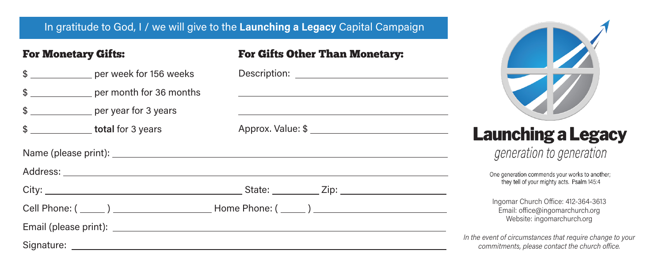## In gratitude to God, I / we will give to the Launching a Legacy Capital Campaign

| <b>For Monetary Gifts:</b> | <b>For Gifts Other Than Monetary:</b>                                                        |                                                                                                             |
|----------------------------|----------------------------------------------------------------------------------------------|-------------------------------------------------------------------------------------------------------------|
| \$ per week for 156 weeks  |                                                                                              |                                                                                                             |
| \$ per month for 36 months |                                                                                              |                                                                                                             |
| \$                         |                                                                                              |                                                                                                             |
| \$                         |                                                                                              | <b>Launching a Legacy</b>                                                                                   |
|                            |                                                                                              | generation to generation                                                                                    |
|                            | One generation commends your works to another;<br>they tell of your mighty acts. Psalm 145:4 |                                                                                                             |
|                            |                                                                                              |                                                                                                             |
|                            | Ingomar Church Office: 412-364-3613<br>Email: office@ingomarchurch.org                       |                                                                                                             |
|                            |                                                                                              | Website: ingomarchurch.org                                                                                  |
|                            |                                                                                              | In the event of circumstances that require change to your<br>commitments, please contact the church office. |

**CONTRACTOR** 

 $\overline{\phantom{a}}$